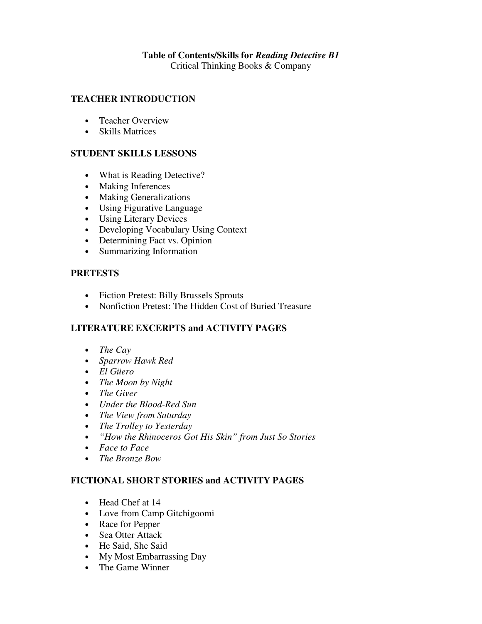# **Table of Contents/Skills for** *Reading Detective B1*

Critical Thinking Books & Company

#### **TEACHER INTRODUCTION**

- Teacher Overview
- Skills Matrices

#### **STUDENT SKILLS LESSONS**

- What is Reading Detective?
- Making Inferences
- Making Generalizations
- Using Figurative Language
- Using Literary Devices
- Developing Vocabulary Using Context
- Determining Fact vs. Opinion
- Summarizing Information

#### **PRETESTS**

- Fiction Pretest: Billy Brussels Sprouts
- Nonfiction Pretest: The Hidden Cost of Buried Treasure

# **LITERATURE EXCERPTS and ACTIVITY PAGES**

- *The Cay*
- *Sparrow Hawk Red*
- *El Güero*
- *The Moon by Night*
- *The Giver*
- *Under the Blood-Red Sun*
- *The View from Saturday*
- *The Trolley to Yesterday*
- *"How the Rhinoceros Got His Skin" from Just So Stories*
- *Face to Face*
- *The Bronze Bow*

# **FICTIONAL SHORT STORIES and ACTIVITY PAGES**

- Head Chef at 14
- Love from Camp Gitchigoomi
- Race for Pepper
- Sea Otter Attack
- He Said, She Said
- My Most Embarrassing Day
- The Game Winner